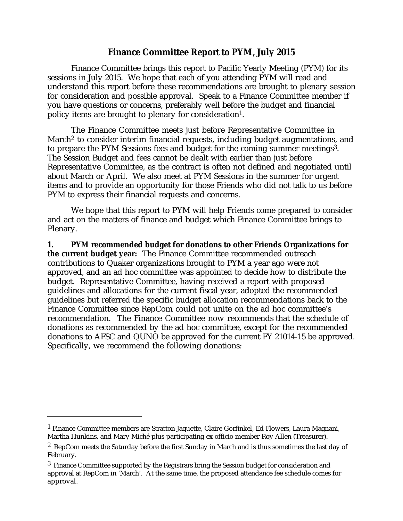## **Finance Committee Report to PYM, July 2015**

Finance Committee brings this report to Pacific Yearly Meeting (PYM) for its sessions in July 2015. We hope that each of you attending PYM will read and understand this report before these recommendations are brought to plenary session for consideration and possible approval. Speak to a Finance Committee member if you have questions or concerns, preferably well before the budget and financial policy items are brought to plenary for consideration1.

The Finance Committee meets just before Representative Committee in March<sup>2</sup> to consider interim financial requests, including budget augmentations, and to prepare the PYM Sessions fees and budget for the coming summer meetings3. The Session Budget and fees cannot be dealt with earlier than just before Representative Committee, as the contract is often not defined and negotiated until about March or April. We also meet at PYM Sessions in the summer for urgent items and to provide an opportunity for those Friends who did not talk to us before PYM to express their financial requests and concerns.

We hope that this report to PYM will help Friends come prepared to consider and act on the matters of finance and budget which Finance Committee brings to Plenary.

**1. PYM recommended budget for donations to other Friends Organizations for the current budget year:** The Finance Committee recommended outreach contributions to Quaker organizations brought to PYM a year ago were not approved, and an ad hoc committee was appointed to decide how to distribute the budget. Representative Committee, having received a report with proposed guidelines and allocations for the current fiscal year, adopted the recommended guidelines but referred the specific budget allocation recommendations back to the Finance Committee since RepCom could not unite on the ad hoc committee's recommendation. The Finance Committee now recommends that the schedule of donations as recommended by the ad hoc committee, except for the recommended donations to AFSC and QUNO be approved for the current FY 21014-15 be approved. Specifically, we recommend the following donations:

<sup>1</sup> Finance Committee members are Stratton Jaquette, Claire Gorfinkel, Ed Flowers, Laura Magnani, Martha Hunkins, and Mary Miché plus participating ex officio member Roy Allen (Treasurer).

<sup>&</sup>lt;sup>2</sup> RepCom meets the Saturday before the first Sunday in March and is thus sometimes the last day of February.

<sup>&</sup>lt;sup>3</sup> Finance Committee supported by the Registrars bring the Session budget for consideration and approval at RepCom in 'March'. At the same time, the proposed attendance fee schedule comes for approval.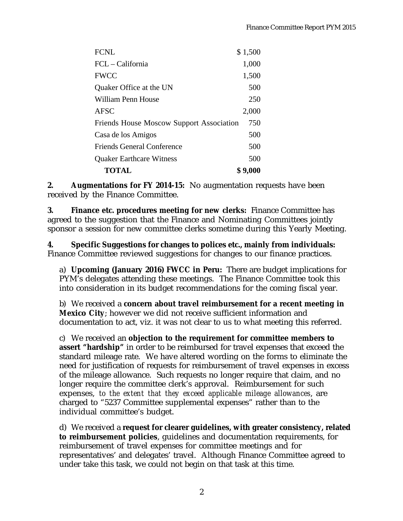| FCNL                                            | \$1,500 |
|-------------------------------------------------|---------|
| FCL – California                                | 1,000   |
| FWCC                                            | 1,500   |
| Quaker Office at the UN                         | 500     |
| William Penn House                              | 250     |
| AFSC                                            | 2,000   |
| <b>Friends House Moscow Support Association</b> | 750     |
| Casa de los Amigos                              | 500     |
| <b>Friends General Conference</b>               | 500     |
| <b>Quaker Earthcare Witness</b>                 | 500     |
| <b>TOTAL</b>                                    | \$9,000 |

**2. Augmentations for FY 2014-15:** No augmentation requests have been received by the Finance Committee.

**3. Finance etc. procedures meeting for new clerks:** Finance Committee has agreed to the suggestion that the Finance and Nominating Committees jointly sponsor a session for new committee clerks sometime during this Yearly Meeting.

**4. Specific Suggestions for changes to polices etc., mainly from individuals:** Finance Committee reviewed suggestions for changes to our finance practices.

a) **Upcoming (January 2016) FWCC in Peru:** There are budget implications for PYM's delegates attending these meetings. The Finance Committee took this into consideration in its budget recommendations for the coming fiscal year.

b) We received a **concern about travel reimbursement for a recent meeting in Mexico City**; however we did not receive sufficient information and documentation to act, viz. it was not clear to us to what meeting this referred.

c) We received an **objection to the requirement for committee members to assert "hardship"** in order to be reimbursed for travel expenses that exceed the standard mileage rate. We have altered wording on the forms to eliminate the need for justification of requests for reimbursement of travel expenses in excess of the mileage allowance. Such requests no longer require that claim, and no longer require the committee clerk's approval. Reimbursement for such expenses, *to the extent that they exceed applicable mileage allowances*, are charged to "5237 Committee supplemental expenses" rather than to the individual committee's budget.

d) We received a **request for clearer guidelines, with greater consistency, related to reimbursement policies**, guidelines and documentation requirements, for reimbursement of travel expenses for committee meetings and for representatives' and delegates' travel. Although Finance Committee agreed to under take this task, we could not begin on that task at this time.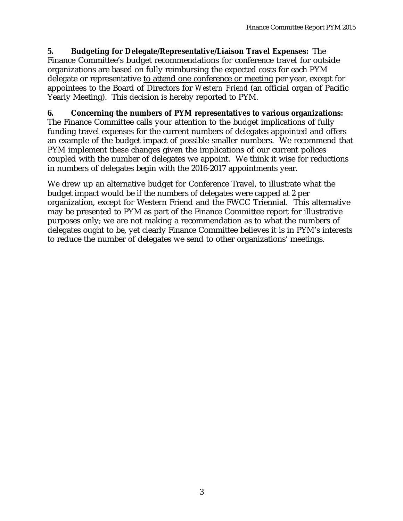**5. Budgeting for Delegate/Representative/Liaison Travel Expenses:** The Finance Committee's budget recommendations for conference travel for outside organizations are based on fully reimbursing the expected costs for each PYM delegate or representative to attend one conference or meeting per year, except for appointees to the Board of Directors for *Western Friend* (an official organ of Pacific Yearly Meeting). This decision is hereby reported to PYM.

## **6. Concerning the numbers of PYM representatives to various organizations:**

The Finance Committee calls your attention to the budget implications of fully funding travel expenses for the current numbers of delegates appointed and offers an example of the budget impact of possible smaller numbers. We recommend that PYM implement these changes given the implications of our current polices coupled with the number of delegates we appoint. We think it wise for reductions in numbers of delegates begin with the 2016-2017 appointments year.

We drew up an alternative budget for Conference Travel, to illustrate what the budget impact would be if the numbers of delegates were capped at 2 per organization, except for Western Friend and the FWCC Triennial. This alternative may be presented to PYM as part of the Finance Committee report for illustrative purposes only; we are not making a recommendation as to what the numbers of delegates ought to be, yet clearly Finance Committee believes it is in PYM's interests to reduce the number of delegates we send to other organizations' meetings.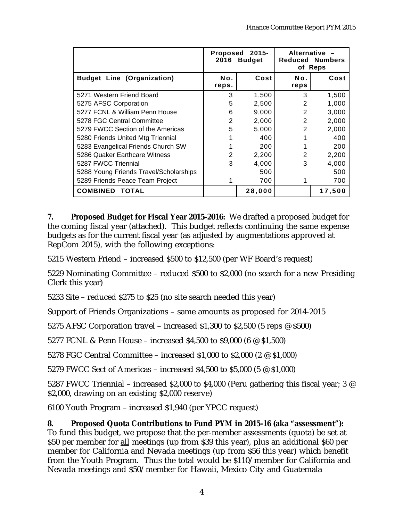|                                        | $2015 -$<br><b>Proposed</b><br>2016 Budget |        | Alternative -<br><b>Reduced Numbers</b><br>of Reps |        |
|----------------------------------------|--------------------------------------------|--------|----------------------------------------------------|--------|
| <b>Budget Line (Organization)</b>      | Νo.<br>Cost                                |        | No.                                                | Cost   |
|                                        | reps.                                      |        | reps                                               |        |
| 5271 Western Friend Board              | 3                                          | 1,500  | 3                                                  | 1,500  |
| 5275 AFSC Corporation                  | 5                                          | 2,500  | 2                                                  | 1,000  |
| 5277 FCNL & William Penn House         | 6                                          | 9,000  | 2                                                  | 3,000  |
| 5278 FGC Central Committee             | 2                                          | 2,000  | $\overline{2}$                                     | 2,000  |
| 5279 FWCC Section of the Americas      | 5                                          | 5,000  | 2                                                  | 2,000  |
| 5280 Friends United Mtg Triennial      |                                            | 400    |                                                    | 400    |
| 5283 Evangelical Friends Church SW     |                                            | 200    |                                                    | 200    |
| 5286 Quaker Earthcare Witness          | 2                                          | 2,200  | 2                                                  | 2,200  |
| 5287 FWCC Triennial                    | 3                                          | 4,000  | 3                                                  | 4,000  |
| 5288 Young Friends Travel/Scholarships |                                            | 500    |                                                    | 500    |
| 5289 Friends Peace Team Project        |                                            | 700    |                                                    | 700    |
| <b>COMBINED TOTAL</b>                  |                                            | 28,000 |                                                    | 17,500 |

**7. Proposed Budget for Fiscal Year 2015-2016:** We drafted a proposed budget for the coming fiscal year (attached). This budget reflects continuing the same expense budgets as for the current fiscal year (as adjusted by augmentations approved at RepCom 2015), with the following exceptions:

5215 Western Friend – increased \$500 to \$12,500 (per WF Board's request)

5229 Nominating Committee – reduced \$500 to \$2,000 (no search for a new Presiding Clerk this year)

5233 Site – reduced \$275 to \$25 (no site search needed this year)

Support of Friends Organizations – same amounts as proposed for 2014-2015

5275 AFSC Corporation travel – increased \$1,300 to \$2,500 (5 reps @ \$500)

5277 FCNL & Penn House – increased \$4,500 to \$9,000 (6 @ \$1,500)

5278 FGC Central Committee – increased \$1,000 to \$2,000 (2 @ \$1,000)

5279 FWCC Sect of Americas – increased \$4,500 to \$5,000 (5 @ \$1,000)

5287 FWCC Triennial – increased \$2,000 to \$4,000 (Peru gathering this fiscal year; 3 @ \$2,000, drawing on an existing \$2,000 reserve)

6100 Youth Program – increased \$1,940 (per YPCC request)

**8. Proposed Quota Contributions to Fund PYM in 2015-16 (aka "assessment"):** To fund this budget, we propose that the per-member assessments (quota) be set at \$50 per member for all meetings (up from \$39 this year), plus an additional \$60 per member for California and Nevada meetings (up from \$56 this year) which benefit from the Youth Program. Thus the total would be \$110/member for California and Nevada meetings and \$50/member for Hawaii, Mexico City and Guatemala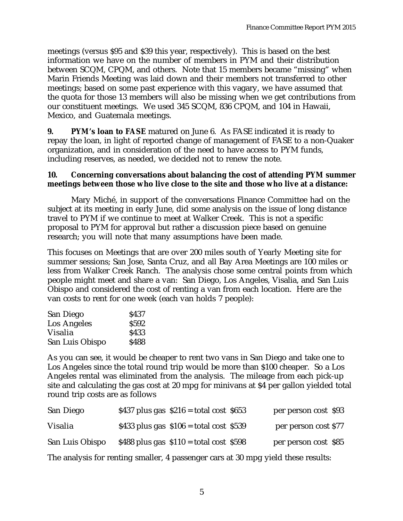meetings (versus \$95 and \$39 this year, respectively). This is based on the best information we have on the number of members in PYM and their distribution between SCQM, CPQM, and others. Note that 15 members became "missing" when Marin Friends Meeting was laid down and their members not transferred to other meetings; based on some past experience with this vagary, we have assumed that the quota for those 13 members will also be missing when we get contributions from our constituent meetings. We used 345 SCQM, 836 CPQM, and 104 in Hawaii, Mexico, and Guatemala meetings.

**9. PYM's loan to FASE** matured on June 6. As FASE indicated it is ready to repay the loan, in light of reported change of management of FASE to a non-Quaker organization, and in consideration of the need to have access to PYM funds, including reserves, as needed, we decided not to renew the note.

## **10. Concerning conversations about balancing the cost of attending PYM summer meetings between those who live close to the site and those who live at a distance:**

Mary Miché, in support of the conversations Finance Committee had on the subject at its meeting in early June, did some analysis on the issue of long distance travel to PYM if we continue to meet at Walker Creek. This is not a specific proposal to PYM for approval but rather a discussion piece based on genuine research; you will note that many assumptions have been made.

This focuses on Meetings that are over 200 miles south of Yearly Meeting site for summer sessions; San Jose, Santa Cruz, and all Bay Area Meetings are 100 miles or less from Walker Creek Ranch. The analysis chose some central points from which people might meet and share a van: San Diego, Los Angeles, Visalia, and San Luis Obispo and considered the cost of renting a van from each location. Here are the van costs to rent for one week (each van holds 7 people):

| \$437 |
|-------|
| \$592 |
| \$433 |
| \$488 |
|       |

As you can see, it would be cheaper to rent two vans in San Diego and take one to Los Angeles since the total round trip would be more than \$100 cheaper. So a Los Angeles rental was eliminated from the analysis. The mileage from each pick-up site and calculating the gas cost at 20 mpg for minivans at \$4 per gallon yielded total round trip costs are as follows

| San Diego       | \$437 plus gas $$216 = total cost $653$  | per person cost \$93 |
|-----------------|------------------------------------------|----------------------|
| Visalia         | \$433 plus gas $$106 = total cost$ \$539 | per person cost \$77 |
| San Luis Obispo | \$488 plus gas $$110 = total cost$ \$598 | per person cost \$85 |

The analysis for renting smaller, 4 passenger cars at 30 mpg yield these results: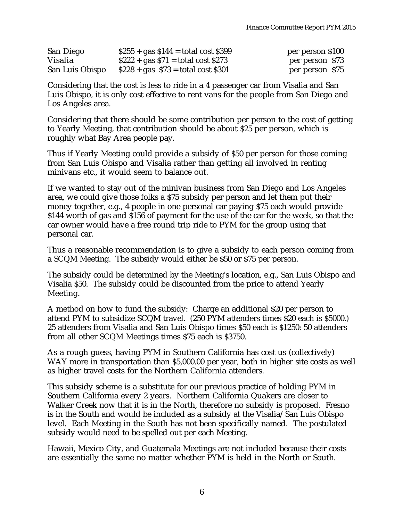| San Diego       | $$255 + gas $144 = total cost $399$  | per person \$100 |
|-----------------|--------------------------------------|------------------|
| Visalia         | $$222 + gas $71 = total cost $273$   | per person \$73  |
| San Luis Obispo | $$228 + gas \$73 = total cost \$301$ | per person \$75  |

Considering that the cost is less to ride in a 4 passenger car from Visalia and San Luis Obispo, it is only cost effective to rent vans for the people from San Diego and Los Angeles area.

Considering that there should be some contribution per person to the cost of getting to Yearly Meeting, that contribution should be about \$25 per person, which is roughly what Bay Area people pay.

Thus if Yearly Meeting could provide a subsidy of \$50 per person for those coming from San Luis Obispo and Visalia rather than getting all involved in renting minivans etc., it would seem to balance out.

If we wanted to stay out of the minivan business from San Diego and Los Angeles area, we could give those folks a \$75 subsidy per person and let them put their money together, e.g., 4 people in one personal car paying \$75 each would provide \$144 worth of gas and \$156 of payment for the use of the car for the week, so that the car owner would have a free round trip ride to PYM for the group using that personal car.

Thus a reasonable recommendation is to give a subsidy to each person coming from a SCQM Meeting. The subsidy would either be \$50 or \$75 per person.

The subsidy could be determined by the Meeting's location, e.g., San Luis Obispo and Visalia \$50. The subsidy could be discounted from the price to attend Yearly Meeting.

A method on how to fund the subsidy: Charge an additional \$20 per person to attend PYM to subsidize SCQM travel. (250 PYM attenders times \$20 each is \$5000.) 25 attenders from Visalia and San Luis Obispo times \$50 each is \$1250: 50 attenders from all other SCQM Meetings times \$75 each is \$3750.

As a rough guess, having PYM in Southern California has cost us (collectively) WAY more in transportation than \$5,000.00 per year, both in higher site costs as well as higher travel costs for the Northern California attenders.

This subsidy scheme is a substitute for our previous practice of holding PYM in Southern California every 2 years. Northern California Quakers are closer to Walker Creek now that it is in the North, therefore no subsidy is proposed. Fresno is in the South and would be included as a subsidy at the Visalia/San Luis Obispo level. Each Meeting in the South has not been specifically named. The postulated subsidy would need to be spelled out per each Meeting.

Hawaii, Mexico City, and Guatemala Meetings are not included because their costs are essentially the same no matter whether PYM is held in the North or South.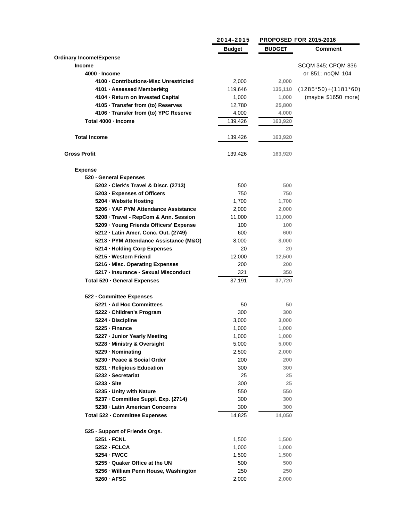|                                        | 2014-2015 |               | <b>PROPOSED FOR 2015-2016</b> |  |
|----------------------------------------|-----------|---------------|-------------------------------|--|
|                                        | Budget    | <b>BUDGET</b> | <b>Comment</b>                |  |
| <b>Ordinary Income/Expense</b>         |           |               |                               |  |
| <b>Income</b>                          |           |               | SCQM 345; CPQM 836            |  |
| 4000 - Income                          |           |               | or 851; noQM 104              |  |
| 4100 - Contributions-Misc Unrestricted | 2,000     | 2,000         |                               |  |
| 4101 · Assessed MemberMtg              | 119,646   | 135,110       | $(1285*50)+(1181*60)$         |  |
| 4104 · Return on Invested Capital      | 1,000     | 1,000         | (maybe \$1650 more)           |  |
| 4105 · Transfer from (to) Reserves     | 12,780    | 25,800        |                               |  |
| 4106 · Transfer from (to) YPC Reserve  | 4,000     | 4,000         |                               |  |
| Total 4000 · Income                    | 139,426   | 163,920       |                               |  |
| <b>Total Income</b>                    | 139,426   | 163,920       |                               |  |
| <b>Gross Profit</b>                    | 139,426   | 163,920       |                               |  |
| <b>Expense</b>                         |           |               |                               |  |
| 520 - General Expenses                 |           |               |                               |  |
| 5202 · Clerk's Travel & Discr. (2713)  | 500       | 500           |                               |  |
| 5203 · Expenses of Officers            | 750       | 750           |                               |  |
| 5204 - Website Hosting                 | 1,700     | 1,700         |                               |  |
| 5206 · YAF PYM Attendance Assistance   | 2,000     | 2,000         |                               |  |
| 5208 · Travel - RepCom & Ann. Session  | 11,000    | 11,000        |                               |  |
| 5209 · Young Friends Officers' Expense | 100       | 100           |                               |  |
| 5212 - Latin Amer. Conc. Out. (2749)   | 600       | 600           |                               |  |
| 5213 - PYM Attendance Assistance (M&O) | 8,000     | 8,000         |                               |  |
| 5214 · Holding Corp Expenses           | 20        | 20            |                               |  |
| 5215 - Western Friend                  | 12,000    | 12,500        |                               |  |
| 5216 - Misc. Operating Expenses        | 200       | 200           |                               |  |
| 5217 · Insurance - Sexual Misconduct   | 321       | 350           |                               |  |
| Total 520 · General Expenses           | 37,191    | 37,720        |                               |  |
| 522 - Committee Expenses               |           |               |                               |  |
| 5221 - Ad Hoc Committees               | 50        | 50            |                               |  |
| 5222 - Children's Program              | 300       | 300           |                               |  |
| 5224 · Discipline                      | 3,000     | 3,000         |                               |  |
| 5225 - Finance                         | 1,000     | 1,000         |                               |  |
| 5227 - Junior Yearly Meeting           | 1,000     | 1,000         |                               |  |
| 5228 - Ministry & Oversight            | 5,000     | 5,000         |                               |  |
| 5229 · Nominating                      | 2,500     | 2,000         |                               |  |
| 5230 - Peace & Social Order            | 200       | 200           |                               |  |
| 5231 - Religious Education             | 300       | 300           |                               |  |
| 5232 - Secretariat                     | 25        | 25            |                               |  |
| 5233 - Site                            | 300       | 25            |                               |  |
| 5235 - Unity with Nature               | 550       | 550           |                               |  |
| 5237 - Committee Suppl. Exp. (2714)    | 300       | 300           |                               |  |
| 5238 - Latin American Concerns         | 300       | 300           |                               |  |
| Total 522 - Committee Expenses         | 14,825    | 14,050        |                               |  |
|                                        |           |               |                               |  |
| 525 - Support of Friends Orgs.         |           |               |                               |  |
| 5251 - FCNL                            | 1,500     | 1,500         |                               |  |
| 5252 - FCLCA                           | 1,000     | 1,000         |                               |  |
| 5254 - FWCC                            | 1,500     | 1,500         |                               |  |
| 5255 - Quaker Office at the UN         | 500       | 500           |                               |  |
| 5256 - William Penn House, Washington  | 250       | 250           |                               |  |
| 5260 · AFSC                            | 2,000     | 2,000         |                               |  |